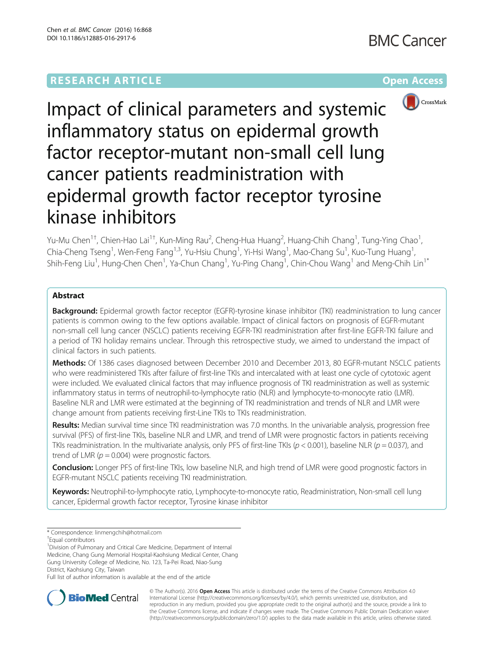

Impact of clinical parameters and systemic inflammatory status on epidermal growth factor receptor-mutant non-small cell lung cancer patients readministration with epidermal growth factor receptor tyrosine kinase inhibitors

Yu-Mu Chen<sup>1†</sup>, Chien-Hao Lai<sup>1†</sup>, Kun-Ming Rau<sup>2</sup>, Cheng-Hua Huang<sup>2</sup>, Huang-Chih Chang<sup>1</sup>, Tung-Ying Chao<sup>1</sup> , Chia-Cheng Tseng<sup>1</sup>, Wen-Feng Fang<sup>1,3</sup>, Yu-Hsiu Chung<sup>1</sup>, Yi-Hsi Wang<sup>1</sup>, Mao-Chang Su<sup>1</sup>, Kuo-Tung Huang<sup>1</sup> , Shih-Feng Liu<sup>1</sup>, Hung-Chen Chen<sup>1</sup>, Ya-Chun Chang<sup>1</sup>, Yu-Ping Chang<sup>1</sup>, Chin-Chou Wang<sup>1</sup> and Meng-Chih Lin<sup>1\*</sup>

# Abstract

Background: Epidermal growth factor receptor (EGFR)-tyrosine kinase inhibitor (TKI) readministration to lung cancer patients is common owing to the few options available. Impact of clinical factors on prognosis of EGFR-mutant non-small cell lung cancer (NSCLC) patients receiving EGFR-TKI readministration after first-line EGFR-TKI failure and a period of TKI holiday remains unclear. Through this retrospective study, we aimed to understand the impact of clinical factors in such patients.

Methods: Of 1386 cases diagnosed between December 2010 and December 2013, 80 EGFR-mutant NSCLC patients who were readministered TKIs after failure of first-line TKIs and intercalated with at least one cycle of cytotoxic agent were included. We evaluated clinical factors that may influence prognosis of TKI readministration as well as systemic inflammatory status in terms of neutrophil-to-lymphocyte ratio (NLR) and lymphocyte-to-monocyte ratio (LMR). Baseline NLR and LMR were estimated at the beginning of TKI readministration and trends of NLR and LMR were change amount from patients receiving first-Line TKIs to TKIs readministration.

Results: Median survival time since TKI readministration was 7.0 months. In the univariable analysis, progression free survival (PFS) of first-line TKIs, baseline NLR and LMR, and trend of LMR were prognostic factors in patients receiving TKIs readministration. In the multivariate analysis, only PFS of first-line TKIs ( $p < 0.001$ ), baseline NLR ( $p = 0.037$ ), and trend of LMR ( $p = 0.004$ ) were prognostic factors.

**Conclusion:** Longer PFS of first-line TKIs, low baseline NLR, and high trend of LMR were good prognostic factors in EGFR-mutant NSCLC patients receiving TKI readministration.

Keywords: Neutrophil-to-lymphocyte ratio, Lymphocyte-to-monocyte ratio, Readministration, Non-small cell lung cancer, Epidermal growth factor receptor, Tyrosine kinase inhibitor

\* Correspondence: [linmengchih@hotmail.com](mailto:linmengchih@hotmail.com) †

<sup>1</sup> Division of Pulmonary and Critical Care Medicine, Department of Internal Medicine, Chang Gung Memorial Hospital-Kaohsiung Medical Center, Chang Gung University College of Medicine, No. 123, Ta-Pei Road, Niao-Sung

District, Kaohsiung City, Taiwan

Full list of author information is available at the end of the article



© The Author(s). 2016 Open Access This article is distributed under the terms of the Creative Commons Attribution 4.0 International License [\(http://creativecommons.org/licenses/by/4.0/](http://creativecommons.org/licenses/by/4.0/)), which permits unrestricted use, distribution, and reproduction in any medium, provided you give appropriate credit to the original author(s) and the source, provide a link to the Creative Commons license, and indicate if changes were made. The Creative Commons Public Domain Dedication waiver [\(http://creativecommons.org/publicdomain/zero/1.0/](http://creativecommons.org/publicdomain/zero/1.0/)) applies to the data made available in this article, unless otherwise stated.

Equal contributors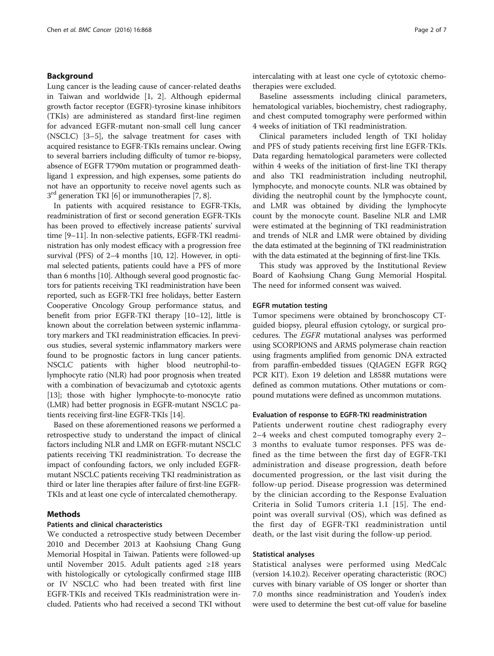## Background

Lung cancer is the leading cause of cancer-related deaths in Taiwan and worldwide [\[1](#page-5-0), [2\]](#page-5-0). Although epidermal growth factor receptor (EGFR)-tyrosine kinase inhibitors (TKIs) are administered as standard first-line regimen for advanced EGFR-mutant non-small cell lung cancer (NSCLC) [\[3](#page-5-0)–[5](#page-5-0)], the salvage treatment for cases with acquired resistance to EGFR-TKIs remains unclear. Owing to several barriers including difficulty of tumor re-biopsy, absence of EGFR T790m mutation or programmed deathligand 1 expression, and high expenses, some patients do not have an opportunity to receive novel agents such as  $3<sup>rd</sup>$  generation TKI [\[6](#page-5-0)] or immunotherapies [\[7](#page-5-0), [8\]](#page-5-0).

In patients with acquired resistance to EGFR-TKIs, readministration of first or second generation EGFR-TKIs has been proved to effectively increase patients' survival time [[9](#page-5-0)–[11](#page-5-0)]. In non-selective patients, EGFR-TKI readministration has only modest efficacy with a progression free survival (PFS) of 2–4 months [[10](#page-5-0), [12\]](#page-5-0). However, in optimal selected patients, patients could have a PFS of more than 6 months [[10\]](#page-5-0). Although several good prognostic factors for patients receiving TKI readministration have been reported, such as EGFR-TKI free holidays, better Eastern Cooperative Oncology Group performance status, and benefit from prior EGFR-TKI therapy [[10](#page-5-0)–[12\]](#page-5-0), little is known about the correlation between systemic inflammatory markers and TKI readministration efficacies. In previous studies, several systemic inflammatory markers were found to be prognostic factors in lung cancer patients. NSCLC patients with higher blood neutrophil-tolymphocyte ratio (NLR) had poor prognosis when treated with a combination of bevacizumab and cytotoxic agents [[13](#page-5-0)]; those with higher lymphocyte-to-monocyte ratio (LMR) had better prognosis in EGFR-mutant NSCLC patients receiving first-line EGFR-TKIs [\[14\]](#page-5-0).

Based on these aforementioned reasons we performed a retrospective study to understand the impact of clinical factors including NLR and LMR on EGFR-mutant NSCLC patients receiving TKI readministration. To decrease the impact of confounding factors, we only included EGFRmutant NSCLC patients receiving TKI readministration as third or later line therapies after failure of first-line EGFR-TKIs and at least one cycle of intercalated chemotherapy.

## Methods

## Patients and clinical characteristics

We conducted a retrospective study between December 2010 and December 2013 at Kaohsiung Chang Gung Memorial Hospital in Taiwan. Patients were followed-up until November 2015. Adult patients aged ≥18 years with histologically or cytologically confirmed stage IIIB or IV NSCLC who had been treated with first line EGFR-TKIs and received TKIs readministration were included. Patients who had received a second TKI without intercalating with at least one cycle of cytotoxic chemotherapies were excluded.

Baseline assessments including clinical parameters, hematological variables, biochemistry, chest radiography, and chest computed tomography were performed within 4 weeks of initiation of TKI readministration.

Clinical parameters included length of TKI holiday and PFS of study patients receiving first line EGFR-TKIs. Data regarding hematological parameters were collected within 4 weeks of the initiation of first-line TKI therapy and also TKI readministration including neutrophil, lymphocyte, and monocyte counts. NLR was obtained by dividing the neutrophil count by the lymphocyte count, and LMR was obtained by dividing the lymphocyte count by the monocyte count. Baseline NLR and LMR were estimated at the beginning of TKI readministration and trends of NLR and LMR were obtained by dividing the data estimated at the beginning of TKI readministration with the data estimated at the beginning of first-line TKIs.

This study was approved by the Institutional Review Board of Kaohsiung Chang Gung Memorial Hospital. The need for informed consent was waived.

### EGFR mutation testing

Tumor specimens were obtained by bronchoscopy CTguided biopsy, pleural effusion cytology, or surgical procedures. The EGFR mutational analyses was performed using SCORPIONS and ARMS polymerase chain reaction using fragments amplified from genomic DNA extracted from paraffin-embedded tissues (QIAGEN EGFR RGQ PCR KIT). Exon 19 deletion and L858R mutations were defined as common mutations. Other mutations or compound mutations were defined as uncommon mutations.

## Evaluation of response to EGFR-TKI readministration

Patients underwent routine chest radiography every 2–4 weeks and chest computed tomography every 2– 3 months to evaluate tumor responses. PFS was defined as the time between the first day of EGFR-TKI administration and disease progression, death before documented progression, or the last visit during the follow-up period. Disease progression was determined by the clinician according to the Response Evaluation Criteria in Solid Tumors criteria 1.1 [[15](#page-5-0)]. The endpoint was overall survival (OS), which was defined as the first day of EGFR-TKI readministration until death, or the last visit during the follow-up period.

## Statistical analyses

Statistical analyses were performed using MedCalc (version 14.10.2). Receiver operating characteristic (ROC) curves with binary variable of OS longer or shorter than 7.0 months since readministration and Youden's index were used to determine the best cut-off value for baseline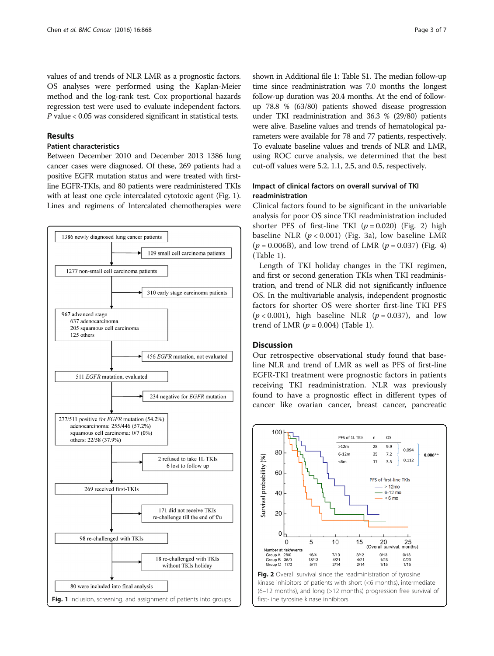values of and trends of NLR LMR as a prognostic factors. OS analyses were performed using the Kaplan-Meier method and the log-rank test. Cox proportional hazards regression test were used to evaluate independent factors. P value < 0.05 was considered significant in statistical tests.

## Results

## Patient characteristics

Between December 2010 and December 2013 1386 lung cancer cases were diagnosed. Of these, 269 patients had a positive EGFR mutation status and were treated with firstline EGFR-TKIs, and 80 patients were readministered TKIs with at least one cycle intercalated cytotoxic agent (Fig. 1). Lines and regimens of Intercalated chemotherapies were



shown in Additional file [1](#page-5-0): Table S1. The median follow-up time since readministration was 7.0 months the longest follow-up duration was 20.4 months. At the end of followup 78.8 % (63/80) patients showed disease progression under TKI readministration and 36.3 % (29/80) patients were alive. Baseline values and trends of hematological parameters were available for 78 and 77 patients, respectively. To evaluate baseline values and trends of NLR and LMR, using ROC curve analysis, we determined that the best cut-off values were 5.2, 1.1, 2.5, and 0.5, respectively.

## Impact of clinical factors on overall survival of TKI readministration

Clinical factors found to be significant in the univariable analysis for poor OS since TKI readministration included shorter PFS of first-line TKI  $(p = 0.020)$  (Fig. 2) high baseline NLR  $(p < 0.001)$  (Fig. [3a\)](#page-3-0), low baseline LMR  $(p = 0.006B)$ , and low trend of LMR  $(p = 0.037)$  (Fig. [4](#page-3-0)) (Table [1\)](#page-4-0).

Length of TKI holiday changes in the TKI regimen, and first or second generation TKIs when TKI readministration, and trend of NLR did not significantly influence OS. In the multivariable analysis, independent prognostic factors for shorter OS were shorter first-line TKI PFS  $(p < 0.001)$ , high baseline NLR  $(p = 0.037)$ , and low trend of LMR  $(p = 0.004)$  (Table [1](#page-4-0)).

## **Discussion**

Our retrospective observational study found that baseline NLR and trend of LMR as well as PFS of first-line EGFR-TKI treatment were prognostic factors in patients receiving TKI readministration. NLR was previously found to have a prognostic effect in different types of cancer like ovarian cancer, breast cancer, pancreatic



(6–12 months), and long (>12 months) progression free survival of first-line tyrosine kinase inhibitors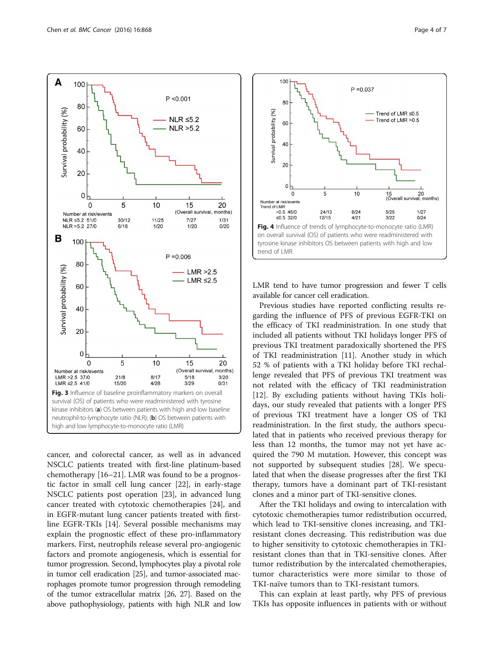<span id="page-3-0"></span>

cancer, and colorectal cancer, as well as in advanced NSCLC patients treated with first-line platinum-based chemotherapy [[16](#page-5-0)–[21](#page-5-0)]. LMR was found to be a prognostic factor in small cell lung cancer [[22](#page-5-0)], in early-stage NSCLC patients post operation [[23\]](#page-6-0), in advanced lung cancer treated with cytotoxic chemotherapies [\[24\]](#page-6-0), and in EGFR-mutant lung cancer patients treated with firstline EGFR-TKIs [[14\]](#page-5-0). Several possible mechanisms may explain the prognostic effect of these pro-inflammatory markers. First, neutrophils release several pro-angiogenic factors and promote angiogenesis, which is essential for tumor progression. Second, lymphocytes play a pivotal role in tumor cell eradication [\[25\]](#page-6-0), and tumor-associated macrophages promote tumor progression through remodeling of the tumor extracellular matrix [\[26](#page-6-0), [27](#page-6-0)]. Based on the above pathophysiology, patients with high NLR and low



LMR tend to have tumor progression and fewer T cells available for cancer cell eradication.

Previous studies have reported conflicting results regarding the influence of PFS of previous EGFR-TKI on the efficacy of TKI readministration. In one study that included all patients without TKI holidays longer PFS of previous TKI treatment paradoxically shortened the PFS of TKI readministration [[11\]](#page-5-0). Another study in which 52 % of patients with a TKI holiday before TKI rechallenge revealed that PFS of previous TKI treatment was not related with the efficacy of TKI readministration [[12\]](#page-5-0). By excluding patients without having TKIs holidays, our study revealed that patients with a longer PFS of previous TKI treatment have a longer OS of TKI readministration. In the first study, the authors speculated that in patients who received previous therapy for less than 12 months, the tumor may not yet have acquired the 790 M mutation. However, this concept was not supported by subsequent studies [\[28\]](#page-6-0). We speculated that when the disease progresses after the first TKI therapy, tumors have a dominant part of TKI-resistant clones and a minor part of TKI-sensitive clones.

After the TKI holidays and owing to intercalation with cytotoxic chemotherapies tumor redistribution occurred, which lead to TKI-sensitive clones increasing, and TKIresistant clones decreasing. This redistribution was due to higher sensitivity to cytotoxic chemotherapies in TKIresistant clones than that in TKI-sensitive clones. After tumor redistribution by the intercalated chemotherapies, tumor characteristics were more similar to those of TKI-naïve tumors than to TKI-resistant tumors.

This can explain at least partly, why PFS of previous TKIs has opposite influences in patients with or without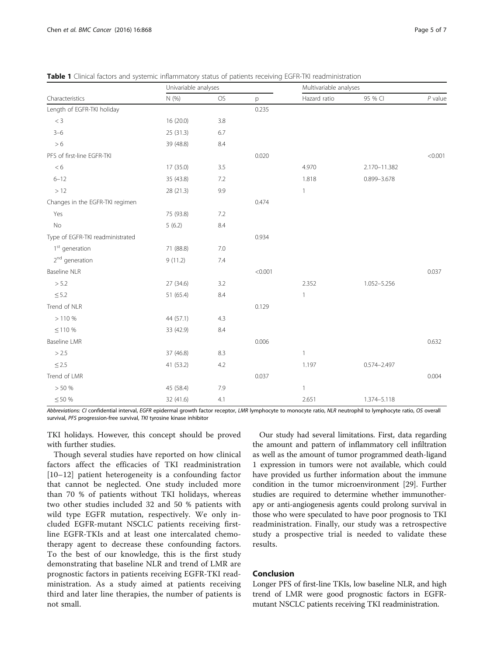| Characteristics                  | Univariable analyses |         |         | Multivariable analyses |                 |           |
|----------------------------------|----------------------|---------|---------|------------------------|-----------------|-----------|
|                                  | N (%)                | OS      | p       | Hazard ratio           | 95 % CI         | $P$ value |
| Length of EGFR-TKI holiday       |                      |         | 0.235   |                        |                 |           |
| $<$ 3                            | 16 (20.0)            | 3.8     |         |                        |                 |           |
| $3 - 6$                          | 25 (31.3)            | 6.7     |         |                        |                 |           |
| > 6                              | 39 (48.8)            | 8.4     |         |                        |                 |           |
| PFS of first-line EGFR-TKI       |                      |         | 0.020   |                        |                 | < 0.001   |
| < 6                              | 17 (35.0)            | 3.5     |         | 4.970                  | 2.170-11.382    |           |
| $6 - 12$                         | 35 (43.8)            | 7.2     |         | 1.818                  | 0.899-3.678     |           |
| $>12$                            | 28 (21.3)            | 9.9     |         | $\mathbf{1}$           |                 |           |
| Changes in the EGFR-TKI regimen  |                      |         | 0.474   |                        |                 |           |
| Yes                              | 75 (93.8)            | $7.2\,$ |         |                        |                 |           |
| <b>No</b>                        | 5(6.2)               | $8.4\,$ |         |                        |                 |           |
| Type of EGFR-TKI readministrated |                      |         | 0.934   |                        |                 |           |
| 1 <sup>st</sup> generation       | 71 (88.8)            | 7.0     |         |                        |                 |           |
| 2 <sup>nd</sup> generation       | 9(11.2)              | 7.4     |         |                        |                 |           |
| Baseline NLR                     |                      |         | < 0.001 |                        |                 | 0.037     |
| > 5.2                            | 27 (34.6)            | 3.2     |         | 2.352                  | 1.052-5.256     |           |
| $\leq$ 5.2                       | 51 (65.4)            | $8.4\,$ |         | $\mathbf{1}$           |                 |           |
| Trend of NLR                     |                      |         | 0.129   |                        |                 |           |
| >110%                            | 44 (57.1)            | 4.3     |         |                        |                 |           |
| $\leq$ 110 %                     | 33 (42.9)            | 8.4     |         |                        |                 |           |
| Baseline LMR                     |                      |         | 0.006   |                        |                 | 0.632     |
| > 2.5                            | 37 (46.8)            | 8.3     |         | $\mathbf{1}$           |                 |           |
| $\leq$ 2.5                       | 41 (53.2)            | 4.2     |         | 1.197                  | $0.574 - 2.497$ |           |
| Trend of LMR                     |                      |         | 0.037   |                        |                 | 0.004     |
| > 50%                            | 45 (58.4)            | 7.9     |         | $\mathbf{1}$           |                 |           |
| $\leq$ 50 %                      | 32 (41.6)            | 4.1     |         | 2.651                  | 1.374-5.118     |           |

<span id="page-4-0"></span>Table 1 Clinical factors and systemic inflammatory status of patients receiving EGFR-TKI readministration

Abbreviations: CI confidential interval, EGFR epidermal growth factor receptor, LMR lymphocyte to monocyte ratio, NLR neutrophil to lymphocyte ratio, OS overall survival, PFS progression-free survival, TKI tyrosine kinase inhibitor

TKI holidays. However, this concept should be proved with further studies.

Though several studies have reported on how clinical factors affect the efficacies of TKI readministration [[10](#page-5-0)–[12\]](#page-5-0) patient heterogeneity is a confounding factor that cannot be neglected. One study included more than 70 % of patients without TKI holidays, whereas two other studies included 32 and 50 % patients with wild type EGFR mutation, respectively. We only included EGFR-mutant NSCLC patients receiving firstline EGFR-TKIs and at least one intercalated chemotherapy agent to decrease these confounding factors. To the best of our knowledge, this is the first study demonstrating that baseline NLR and trend of LMR are prognostic factors in patients receiving EGFR-TKI readministration. As a study aimed at patients receiving third and later line therapies, the number of patients is not small.

Our study had several limitations. First, data regarding the amount and pattern of inflammatory cell infiltration as well as the amount of tumor programmed death-ligand 1 expression in tumors were not available, which could have provided us further information about the immune condition in the tumor microenvironment [\[29\]](#page-6-0). Further studies are required to determine whether immunotherapy or anti-angiogenesis agents could prolong survival in those who were speculated to have poor prognosis to TKI readministration. Finally, our study was a retrospective study a prospective trial is needed to validate these results.

## Conclusion

Longer PFS of first-line TKIs, low baseline NLR, and high trend of LMR were good prognostic factors in EGFRmutant NSCLC patients receiving TKI readministration.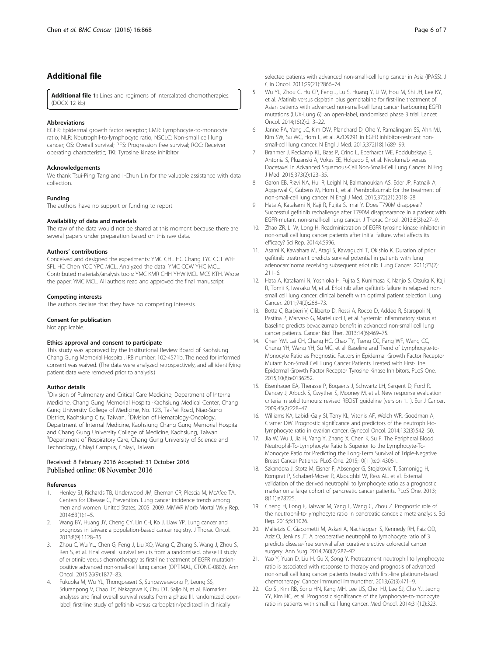## <span id="page-5-0"></span>Additional file

[Additional file 1:](dx.doi.org/10.1186/s12885-016-2917-6) Lines and regimens of Intercalated chemotherapies. (DOCX 12 kb)

#### Abbreviations

EGFR: Epidermal growth factor receptor; LMR: Lymphocyte-to-monocyte ratio; NLR: Neutrophil-to-lymphocyte ratio; NSCLC: Non-small cell lung cancer; OS: Overall survival; PFS: Progression free survival; ROC: Receiver operating characteristic; TKI: Tyrosine kinase inhibitor

#### Acknowledgements

We thank Tsui-Ping Tang and I-Chun Lin for the valuable assistance with data collection.

#### Funding

The authors have no support or funding to report.

#### Availability of data and materials

The raw of the data would not be shared at this moment because there are several papers under preparation based on this raw data.

#### Authors' contributions

Conceived and designed the experiments: YMC CHL HC Chang TYC CCT WFF SFL HC Chen YCC YPC MCL. Analyzed the data: YMC CCW YHC MCL. Contributed materials/analysis tools: YMC KMR CHH YHW MCL MCS KTH. Wrote the paper: YMC MCL. All authors read and approved the final manuscript.

#### Competing interests

The authors declare that they have no competing interests.

#### Consent for publication

Not applicable.

## Ethics approval and consent to participate

This study was approved by the Institutional Review Board of Kaohsiung Chang Gung Memorial Hospital. IRB number: 102-4571b. The need for informed consent was waived. (The data were analyzed retrospectively, and all identifying patient data were removed prior to analysis.)

## Author details

<sup>1</sup> Division of Pulmonary and Critical Care Medicine, Department of Internal Medicine, Chang Gung Memorial Hospital-Kaohsiung Medical Center, Chang Gung University College of Medicine, No. 123, Ta-Pei Road, Niao-Sung District, Kaohsiung City, Taiwan. <sup>2</sup> Division of Hematology-Oncology, Department of Internal Medicine, Kaohsiung Chang Gung Memorial Hospital and Chang Gung University College of Medicine, Kaohsiung, Taiwan. <sup>3</sup>Department of Respiratory Care, Chang Gung University of Science and Technology, Chiayi Campus, Chiayi, Taiwan.

### Received: 8 February 2016 Accepted: 31 October 2016 Published online: 08 November 2016

#### References

- 1. Henley SJ, Richards TB, Underwood JM, Eheman CR, Plescia M, McAfee TA, Centers for Disease C, Prevention. Lung cancer incidence trends among men and women–United States, 2005–2009. MMWR Morb Mortal Wkly Rep. 2014;63(1):1–5.
- Wang BY, Huang JY, Cheng CY, Lin CH, Ko J, Liaw YP. Lung cancer and prognosis in taiwan: a population-based cancer registry. J Thorac Oncol. 2013;8(9):1128–35.
- 3. Zhou C, Wu YL, Chen G, Feng J, Liu XQ, Wang C, Zhang S, Wang J, Zhou S, Ren S, et al. Final overall survival results from a randomised, phase III study of erlotinib versus chemotherapy as first-line treatment of EGFR mutationpositive advanced non-small-cell lung cancer (OPTIMAL, CTONG-0802). Ann Oncol. 2015;26(9):1877–83.
- 4. Fukuoka M, Wu YL, Thongprasert S, Sunpaweravong P, Leong SS, Sriuranpong V, Chao TY, Nakagawa K, Chu DT, Saijo N, et al. Biomarker analyses and final overall survival results from a phase III, randomized, openlabel, first-line study of gefitinib versus carboplatin/paclitaxel in clinically

selected patients with advanced non-small-cell lung cancer in Asia (IPASS). J Clin Oncol. 2011;29(21):2866–74.

- 5. Wu YL, Zhou C, Hu CP, Feng J, Lu S, Huang Y, Li W, Hou M, Shi JH, Lee KY, et al. Afatinib versus cisplatin plus gemcitabine for first-line treatment of Asian patients with advanced non-small-cell lung cancer harbouring EGFR mutations (LUX-Lung 6): an open-label, randomised phase 3 trial. Lancet Oncol. 2014;15(2):213–22.
- 6. Janne PA, Yang JC, Kim DW, Planchard D, Ohe Y, Ramalingam SS, Ahn MJ, Kim SW, Su WC, Horn L, et al. AZD9291 in EGFR inhibitor-resistant nonsmall-cell lung cancer. N Engl J Med. 2015;372(18):1689–99.
- 7. Brahmer J, Reckamp KL, Baas P, Crino L, Eberhardt WE, Poddubskaya E, Antonia S, Pluzanski A, Vokes EE, Holgado E, et al. Nivolumab versus Docetaxel in Advanced Squamous-Cell Non-Small-Cell Lung Cancer. N Engl J Med. 2015;373(2):123–35.
- 8. Garon EB, Rizvi NA, Hui R, Leighl N, Balmanoukian AS, Eder JP, Patnaik A, Aggarwal C, Gubens M, Horn L, et al. Pembrolizumab for the treatment of non-small-cell lung cancer. N Engl J Med. 2015;372(21):2018–28.
- Hata A, Katakami N, Kaji R, Fujita S, Imai Y. Does T790M disappear? Successful gefitinib rechallenge after T790M disappearance in a patient with EGFR-mutant non-small-cell lung cancer. J Thorac Oncol. 2013;8(3):e27–9.
- 10. Zhao ZR, Li W, Long H. Readministration of EGFR tyrosine kinase inhibitor in non-small cell lung cancer patients after initial failure, what affects its efficacy? Sci Rep. 2014;4:5996.
- 11. Asami K, Kawahara M, Atagi S, Kawaguchi T, Okishio K. Duration of prior gefitinib treatment predicts survival potential in patients with lung adenocarcinoma receiving subsequent erlotinib. Lung Cancer. 2011;73(2): 211–6.
- 12. Hata A, Katakami N, Yoshioka H, Fujita S, Kunimasa K, Nanjo S, Otsuka K, Kaji R, Tomii K, Iwasaku M, et al. Erlotinib after gefitinib failure in relapsed nonsmall cell lung cancer: clinical benefit with optimal patient selection. Lung Cancer. 2011;74(2):268–73.
- 13. Botta C, Barbieri V, Ciliberto D, Rossi A, Rocco D, Addeo R, Staropoli N, Pastina P, Marvaso G, Martellucci I, et al. Systemic inflammatory status at baseline predicts bevacizumab benefit in advanced non-small cell lung cancer patients. Cancer Biol Ther. 2013;14(6):469–75.
- 14. Chen YM, Lai CH, Chang HC, Chao TY, Tseng CC, Fang WF, Wang CC, Chung YH, Wang YH, Su MC, et al. Baseline and Trend of Lymphocyte-to-Monocyte Ratio as Prognostic Factors in Epidermal Growth Factor Receptor Mutant Non-Small Cell Lung Cancer Patients Treated with First-Line Epidermal Growth Factor Receptor Tyrosine Kinase Inhibitors. PLoS One. 2015;10(8):e0136252.
- 15. Eisenhauer EA, Therasse P, Bogaerts J, Schwartz LH, Sargent D, Ford R, Dancey J, Arbuck S, Gwyther S, Mooney M, et al. New response evaluation criteria in solid tumours: revised RECIST guideline (version 1.1). Eur J Cancer. 2009;45(2):228–47.
- 16. Williams KA, Labidi-Galy SI, Terry KL, Vitonis AF, Welch WR, Goodman A, Cramer DW. Prognostic significance and predictors of the neutrophil-tolymphocyte ratio in ovarian cancer. Gynecol Oncol. 2014;132(3):542–50.
- 17. Jia W, Wu J, Jia H, Yang Y, Zhang X, Chen K, Su F. The Peripheral Blood Neutrophil-To-Lymphocyte Ratio Is Superior to the Lymphocyte-To-Monocyte Ratio for Predicting the Long-Term Survival of Triple-Negative Breast Cancer Patients. PLoS One. 2015;10(11):e0143061.
- 18. Szkandera J, Stotz M, Eisner F, Absenger G, Stojakovic T, Samonigg H, Kornprat P, Schaberl-Moser R, Alzoughbi W, Ress AL, et al. External validation of the derived neutrophil to lymphocyte ratio as a prognostic marker on a large cohort of pancreatic cancer patients. PLoS One. 2013; 8(11):e78225.
- 19. Cheng H, Long F, Jaiswar M, Yang L, Wang C, Zhou Z. Prognostic role of the neutrophil-to-lymphocyte ratio in pancreatic cancer: a meta-analysis. Sci Rep. 2015;5:11026.
- 20. Malietzis G, Giacometti M, Askari A, Nachiappan S, Kennedy RH, Faiz OD, Aziz O, Jenkins JT. A preoperative neutrophil to lymphocyte ratio of 3 predicts disease-free survival after curative elective colorectal cancer surgery. Ann Surg. 2014;260(2):287–92.
- 21. Yao Y, Yuan D, Liu H, Gu X, Song Y. Pretreatment neutrophil to lymphocyte ratio is associated with response to therapy and prognosis of advanced non-small cell lung cancer patients treated with first-line platinum-based chemotherapy. Cancer Immunol Immunother. 2013;62(3):471–9.
- 22. Go SI, Kim RB, Song HN, Kang MH, Lee US, Choi HJ, Lee SJ, Cho YJ, Jeong YY, Kim HC, et al. Prognostic significance of the lymphocyte-to-monocyte ratio in patients with small cell lung cancer. Med Oncol. 2014;31(12):323.